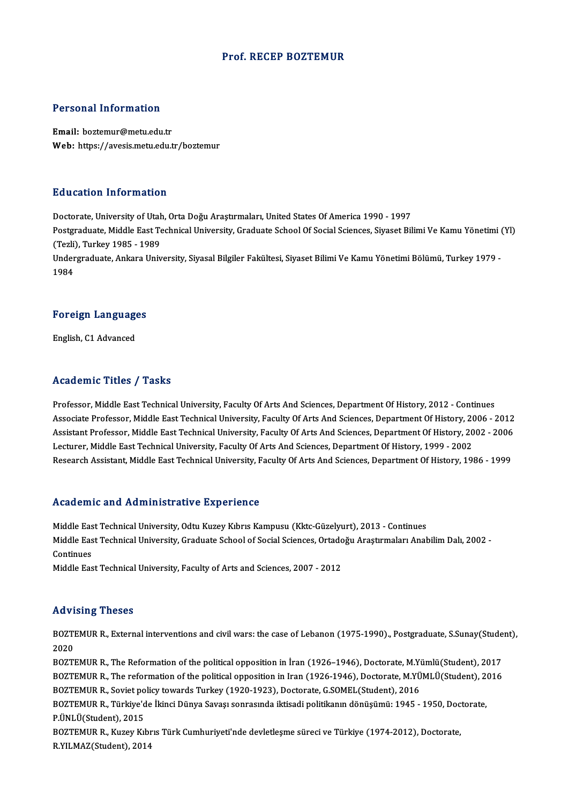## Prof. RECEP BOZTEMUR

## Personal Information

Email: boztemur@metu.edu.tr Web: https://avesis.metu.edu.tr/boztemur

## Education Information

Doctorate, University of Utah, Orta Doğu Araştırmaları, United States Of America 1990 - 1997 Postgraduate, Middle East Technical University, Graduate School Of Social Sciences, Siyaset Bilimi Ve Kamu Yönetimi (Yl) Doctorate, University of Utah<br>Postgraduate, Middle East Te<br>(Tezli), Turkey 1985 - 1989<br>Undergraduate, Ankara Univ Undergraduate, Ankara University, Siyasal Bilgiler Fakültesi, Siyaset Bilimi Ve Kamu Yönetimi Bölümü, Turkey 1979 -<br>1984 (Tezli)<br>Under<br>1984

## 1<sup>984</sup><br>Foreign Languages F<mark>oreign Languag</mark>e<br>English, C1 Advanced

# English, C1 Advanced<br>Academic Titles / Tasks

Professor, Middle East Technical University, Faculty Of Arts And Sciences, Department Of History, 2012 - Continues Associate Professor, Middle East Technical University, Faculty Of Arts And Sciences, Department Of History, 2006 - 2012 Professor, Middle East Technical University, Faculty Of Arts And Sciences, Department Of History, 2012 - Continues<br>Associate Professor, Middle East Technical University, Faculty Of Arts And Sciences, Department Of History, Associate Professor, Middle East Technical University, Faculty Of Arts And Sciences, Department Of History, 20<br>Assistant Professor, Middle East Technical University, Faculty Of Arts And Sciences, Department Of History, 20<br> Assistant Professor, Middle East Technical University, Faculty Of Arts And Sciences, Department Of History, 2002 - 2006<br>Lecturer, Middle East Technical University, Faculty Of Arts And Sciences, Department Of History, 1999 Research Assistant, Middle East Technical University, Faculty Of Arts And Sciences, Department Of History, 1986 - 1999<br>Academic and Administrative Experience

Academic and Administrative Experience<br>Middle East Technical University, Odtu Kuzey Kıbrıs Kampusu (Kktc-Güzelyurt), 2013 - Continues<br>Middle Feet Technical University, Creduste School of Secial Sciences, Ortodoğu Arestrmal Middle East Technical University, Graduate School of Social Sciences, Ortadoğu Araştırmaları Anabilim Dalı, 2002 -<br>Continues Middle Eas<br>Middle Eas<br>Continues<br>Middle Eas

Middle East Technical University, Faculty of Arts and Sciences, 2007 - 2012

## Advising Theses

Advising Theses<br>BOZTEMUR R., External interventions and civil wars: the case of Lebanon (1975-1990)., Postgraduate, S.Sunay(Student),<br>2020 2021<br>2021<br>2020 BOZTEMUR R., External interventions and civil wars: the case of Lebanon (1975-1990)., Postgraduate, S.Sunay(Stude<br>2020<br>BOZTEMUR R., The Reformation of the political opposition in İran (1926–1946), Doctorate, M.Yümlü(Studen

2020<br>BOZTEMUR R., The Reformation of the political opposition in İran (1926–1946), Doctorate, M.Yümlü(Student), 2017<br>BOZTEMUR R., The reformation of the political opposition in Iran (1926-1946), Doctorate, M.YÜMLÜ(Student) BOZTEMUR R., The Reformation of the political opposition in İran (1926–1946), Doctorate, M.Yi<br>BOZTEMUR R., The reformation of the political opposition in Iran (1926-1946), Doctorate, M.YÜ<br>BOZTEMUR R., Soviet policy towards BOZTEMUR R., The reformation of the political opposition in Iran (1926-1946), Doctorate, M.YÜMLÜ(Student), 20<br>BOZTEMUR R., Soviet policy towards Turkey (1920-1923), Doctorate, G.SOMEL(Student), 2016<br>BOZTEMUR R., Türkiye'de BOZTEMUR R., Soviet po<br>BOZTEMUR R., Türkiye'd<br>P.ÜNLÜ(Student), 2015<br>BOZTEMUR R., Kursu Kıl BOZTEMUR R., Türkiye'de İkinci Dünya Savaşı sonrasında iktisadi politikanın dönüşümü: 1945 - 1950, Doc<br>P.ÜNLÜ(Student), 2015<br>BOZTEMUR R., Kuzey Kıbrıs Türk Cumhuriyeti'nde devletleşme süreci ve Türkiye (1974-2012), Doctora P.ÜNLÜ(Student), 2015<br>BOZTEMUR R., Kuzey Kıbrıs Türk Cumhuriyeti'nde devletleşme süreci ve Türkiye (1974-2012), Doctorate,<br>R.YILMAZ(Student), 2014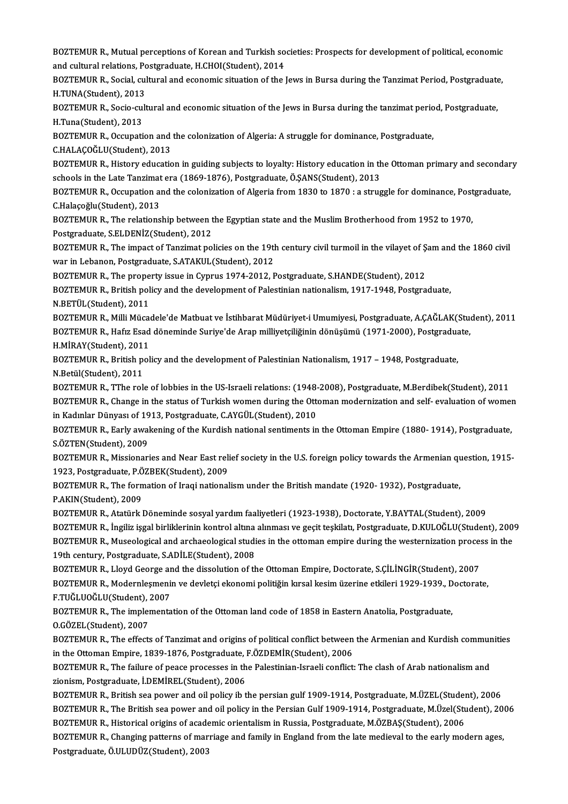BOZTEMUR R., Mutual perceptions of Korean and Turkish societies: Prospects for development of political, economic<br>and sultural relations. Pestsynduate, H.GHOL(Student), 2014. BOZTEMUR R., Mutual perceptions of Korean and Turkish so<br>and cultural relations, Postgraduate, H.CHOI(Student), 2014<br>POZTEMUR B. Social cultural and connemis situation of the l BOZTEMUR R., Mutual perceptions of Korean and Turkish societies: Prospects for development of political, economic<br>and cultural relations, Postgraduate, H.CHOI(Student), 2014<br>BOZTEMUR R., Social, cultural and economic situa

and cultural relations, P<mark>c</mark><br>BOZTEMUR R., Social, cul<br>H.TUNA(Student), 2013<br>BOZTEMUR R. Socio cult BOZTEMUR R., Social, cultural and economic situation of the Jews in Bursa during the Tanzimat Period, Postgraduate,<br>H.TUNA(Student), 2013<br>BOZTEMUR R., Socio-cultural and economic situation of the Jews in Bursa during the t

H.TUNA(Student), 2013<br>BOZTEMUR R., Socio-cul<br>H.Tuna(Student), 2013<br>POZTEMUR R. Oscunati BOZTEMUR R., Socio-cultural and economic situation of the Jews in Bursa during the tanzimat perio<br>H.Tuna(Student), 2013<br>BOZTEMUR R., Occupation and the colonization of Algeria: A struggle for dominance, Postgraduate,<br>C.HAL H.Tuna(Student), 2013<br>BOZTEMUR R., Occupation and<br>C.HALAÇOĞLU(Student), 2013<br>POZTEMUR R., History educatio

C.HALAÇOĞLU(Student), 2013<br>BOZTEMUR R., History education in guiding subjects to loyalty: History education in the Ottoman primary and secondary C.HALAÇOĞLU(Student), 2013<br>BOZTEMUR R., History education in guiding subjects to loyalty: History education in th<br>schools in the Late Tanzimat era (1869-1876), Postgraduate, Ö.ŞANS(Student), 2013<br>POZTEMUR R. Ossunation and

BOZTEMUR R., Occupation and the colonization of Algeria from 1830 to 1870 : a struggle for dominance, Postgraduate,<br>C.Halacoğlu(Student), 2013 Schools in the Late Tanzimat<br>BOZTEMUR R., Occupation an<br>C.Halaçoğlu(Student), 2013<br>BOZTEMUR R., The relations

BOZTEMUR R., The relationship between the Egyptian state and the Muslim Brotherhood from 1952 to 1970, Postgraduate, S.ELDENİZ(Student), 2012 BOZTEMUR R., The relationship between the Egyptian state and the Muslim Brotherhood from 1952 to 1970,<br>Postgraduate, S.ELDENİZ(Student), 2012<br>BOZTEMUR R., The impact of Tanzimat policies on the 19th century civil turmoil i

Postgraduate, S.ELDENİZ(Student), 2012<br>BOZTEMUR R., The impact of Tanzimat policies on the 19th<br>war in Lebanon, Postgraduate, S.ATAKUL(Student), 2012<br>BOZTEMUR B., The preperty issue in Gynnus 1974-2012. I BOZTEMUR R., The impact of Tanzimat policies on the 19th century civil turmoil in the vilayet of \$<br>war in Lebanon, Postgraduate, S.ATAKUL(Student), 2012<br>BOZTEMUR R., The property issue in Cyprus 1974-2012, Postgraduate, S.

BOZTEMUR R., The property issue in Cyprus 1974-2012, Postgraduate, S.HANDE(Student), 2012

war in Lebanon, Postgraduate, S.ATAKUL(Student), 2012<br>BOZTEMUR R., The property issue in Cyprus 1974-2012, Postgraduate, S.HANDE(Student), 2012<br>BOZTEMUR R., British policy and the development of Palestinian nationalism, 19 BOZTEMUR R., British policy and the development of Palestinian nationalism, 1917-1948, Postgraduate,<br>N.BETÜL(Student), 2011<br>BOZTEMUR R., Milli Mücadele'de Matbuat ve İstihbarat Müdüriyet-i Umumiyesi, Postgraduate, A.ÇAĞLAK

N.BETÜL(Student), 2011<br>BOZTEMUR R., Milli Mücadele'de Matbuat ve İstihbarat Müdüriyet-i Umumiyesi, Postgraduate, A.ÇAĞLAK(Stu<br>BOZTEMUR R., Hafız Esad döneminde Suriye'de Arap milliyetçiliğinin dönüşümü (1971-2000), Postgra BOZTEMUR R., Milli Müca<br>BOZTEMUR R., Hafız Esad<br>H.MİRAY(Student), 2011<br>BOZTEMUB B., British pal BOZTEMUR R., Hafız Esad döneminde Suriye'de Arap milliyetçiliğinin dönüşümü (1971-2000), Postgradua<br>H.MİRAY(Student), 2011<br>BOZTEMUR R., British policy and the development of Palestinian Nationalism, 1917 – 1948, Postgradua

H.MİRAY(Student), 2011<br>BOZTEMUR R., British po<br>N.Betül(Student), 2011<br>BOZTEMUR R., TThe rol BOZTEMUR R., British policy and the development of Palestinian Nationalism, 1917 – 1948, Postgraduate,<br>N.Betül(Student), 2011<br>BOZTEMUR R., TThe role of lobbies in the US-Israeli relations: (1948-2008), Postgraduate, M.Berd

N.Betül(Student), 2011<br>BOZTEMUR R., TThe role of lobbies in the US-Israeli relations: (1948-2008), Postgraduate, M.Berdibek(Student), 2011<br>BOZTEMUR R., Change in the status of Turkish women during the Ottoman modernization BOZTEMUR R., TThe role of lobbies in the US-Israeli relations: (1948-<br>BOZTEMUR R., Change in the status of Turkish women during the Otto<br>in Kadınlar Dünyası of 1913, Postgraduate, C.AYGÜL(Student), 2010<br>BOZTEMUR R., Farly BOZTEMUR R., Change in the status of Turkish women during the Ottoman modernization and self- evaluation of women<br>in Kadınlar Dünyası of 1913, Postgraduate, C.AYGÜL(Student), 2010<br>BOZTEMUR R., Early awakening of the Kurdis

in Kadınlar Dünyası of 1913, Postgraduate, C.AYGÜL(Student), 2010<br>BOZTEMUR R., Early awakening of the Kurdish national sentiments ir<br>S.ÖZTEN(Student), 2009 BOZTEMUR R., Early awakening of the Kurdish national sentiments in the Ottoman Empire (1880- 1914), Postgraduate,<br>S.ÖZTEN(Student), 2009<br>BOZTEMUR R., Missionaries and Near East relief society in the U.S. foreign policy tow

BOZTEMUR R., Missionaries and Near East relief society in the U.S. foreign policy towards the Armenian question, 1915-BOZTEMUR R., Missionaries and Near East relief society in the U.S. foreign policy towards the Armenian qu<br>1923, Postgraduate, P.ÖZBEK(Student), 2009<br>BOZTEMUR R., The formation of Iraqi nationalism under the British mandate

1923, Postgraduate, P.Ö<br>BOZTEMUR R., The forn<br>P.AKIN(Student), 2009<br>POZTEMUR R. Atatürk l BOZTEMUR R., The formation of Iraqi nationalism under the British mandate (1920- 1932), Postgraduate,<br>P.AKIN(Student), 2009<br>BOZTEMUR R., Atatürk Döneminde sosyal yardım faaliyetleri (1923-1938), Doctorate, Y.BAYTAL(Student

P.AKIN(Student), 2009<br>BOZTEMUR R., Atatürk Döneminde sosyal yardım faaliyetleri (1923-1938), Doctorate, Y.BAYTAL(Student), 2009<br>BOZTEMUR R., İngiliz işgal birliklerinin kontrol altına alınması ve geçit teşkilatı, Postgradu BOZTEMUR R., Atatürk Döneminde sosyal yardım faaliyetleri (1923-1938), Doctorate, Y.BAYTAL(Student), 2009<br>BOZTEMUR R., İngiliz işgal birliklerinin kontrol altına alınması ve geçit teşkilatı, Postgraduate, D.KULOĞLU(Student 19th BozTEMUR R., İngiliz işgal birliklerinin kontrol altına<br>19th century, Postgraduate, S.ADİLE(Student), 2008<br>19th century, Postgraduate, S.ADİLE(Student), 2008<br>19th century, Postgraduate, S.ADİLE(Student), 2008 BOZTEMUR R., Museological and archaeological studies in the ottoman empire during the westernization procestic<br>19th century, Postgraduate, S.ADİLE(Student), 2008<br>BOZTEMUR R., Lloyd George and the dissolution of the Ottoman

19th century, Postgraduate, S.ADİLE(Student), 2008<br>BOZTEMUR R., Lloyd George and the dissolution of the Ottoman Empire, Doctorate, S.ÇİLİNGİR(Student), 2007<br>BOZTEMUR R., Modernleşmenin ve devletçi ekonomi politiğin kırsal BOZTEMUR R., Lloyd George ar<br>BOZTEMUR R., Modernleşmeni<br>F.TUĞLUOĞLU(Student), 2007<br>BOZTEMUB B., The implemente BOZTEMUR R., Modernleşmenin ve devletçi ekonomi politiğin kırsal kesim üzerine etkileri 1929-1939., D<br>F.TUĞLUOĞLU(Student), 2007<br>BOZTEMUR R., The implementation of the Ottoman land code of 1858 in Eastern Anatolia, Postgra

F.TUĞLUOĞLU(Student), :<br>BOZTEMUR R., The impler<br>O.GÖZEL(Student), 2007<br>BOZTEMUR R., The effects BOZTEMUR R., The implementation of the Ottoman land code of 1858 in Eastern Anatolia, Postgraduate,<br>O.GÖZEL(Student), 2007<br>BOZTEMUR R., The effects of Tanzimat and origins of political conflict between the Armenian and Kur

0.GÖZEL(Student), 2007<br>BOZTEMUR R., The effects of Tanzimat and origins of political conflict between<br>in the Ottoman Empire, 1839-1876, Postgraduate, F.ÖZDEMİR(Student), 2006<br>BOZTEMUR B., The foilure of nease prosesses in BOZTEMUR R., The effects of Tanzimat and origins of political conflict between the Armenian and Kurdish commun<br>in the Ottoman Empire, 1839-1876, Postgraduate, F.ÖZDEMİR(Student), 2006<br>BOZTEMUR R., The failure of peace proc

in the Ottoman Empire, 1839-1876, Postgraduate, F.ÖZDEMİR(Student), 2006<br>BOZTEMUR R., The failure of peace processes in the Palestinian-Israeli conflict: The clash of Arab nationalism and<br>zionism, Postgraduate, İ.DEMİREL(S

BOZTEMURR.,British sea power and oilpolicy ib the persiangulf1909-1914,Postgraduate,M.ÜZEL(Student),2006 zionism, Postgraduate, İ.DEMİREL(Student), 2006<br>BOZTEMUR R., British sea power and oil policy ib the persian gulf 1909-1914, Postgraduate, M.ÜZEL(Student), 2006<br>BOZTEMUR R., The British sea power and oil policy in the Pers BOZTEMUR R., British sea power and oil policy ib the persian gulf 1909-1914, Postgraduate, M.ÜZEL(Student)<br>BOZTEMUR R., The British sea power and oil policy in the Persian Gulf 1909-1914, Postgraduate, M.Üzel(Student)<br>BOZT BOZTEMUR R., The British sea power and oil policy in the Persian Gulf 1909-1914, Postgraduate, M.Üzel(Student), 200<br>BOZTEMUR R., Historical origins of academic orientalism in Russia, Postgraduate, M.ÖZBAŞ(Student), 2006<br>BO

BOZTEMUR R., Historical origins of academic orientalism in Russia, Postgraduate, M.ÖZBAŞ(Student), 2006<br>BOZTEMUR R., Changing patterns of marriage and family in England from the late medieval to the early modern ages,<br>Post